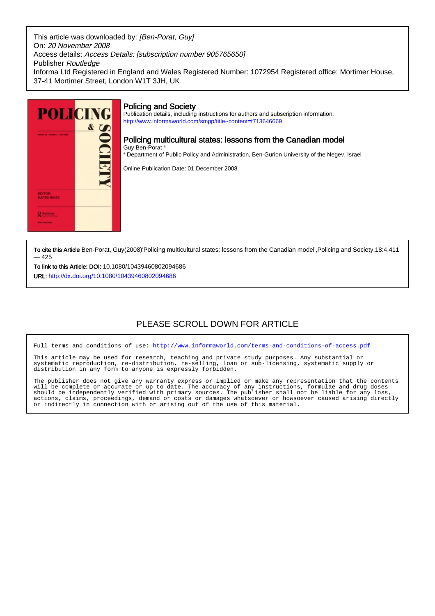This article was downloaded by: [Ben-Porat, Guy] On: 20 November 2008 Access details: Access Details: [subscription number 905765650] Publisher Routledge Informa Ltd Registered in England and Wales Registered Number: 1072954 Registered office: Mortimer House, 37-41 Mortimer Street, London W1T 3JH, UK



To cite this Article Ben-Porat, Guy(2008)'Policing multicultural states: lessons from the Canadian model',Policing and Society,18:4,411 — 425

To link to this Article: DOI: 10.1080/10439460802094686 URL: <http://dx.doi.org/10.1080/10439460802094686>

# PLEASE SCROLL DOWN FOR ARTICLE

Full terms and conditions of use:<http://www.informaworld.com/terms-and-conditions-of-access.pdf>

This article may be used for research, teaching and private study purposes. Any substantial or systematic reproduction, re-distribution, re-selling, loan or sub-licensing, systematic supply or distribution in any form to anyone is expressly forbidden.

The publisher does not give any warranty express or implied or make any representation that the contents will be complete or accurate or up to date. The accuracy of any instructions, formulae and drug doses should be independently verified with primary sources. The publisher shall not be liable for any loss, actions, claims, proceedings, demand or costs or damages whatsoever or howsoever caused arising directly or indirectly in connection with or arising out of the use of this material.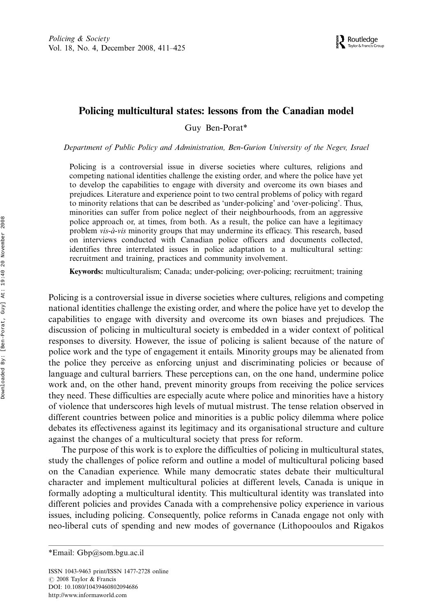# Policing multicultural states: lessons from the Canadian model

Guy Ben-Porat\*

Department of Public Policy and Administration, Ben-Gurion University of the Negev, Israel

Policing is a controversial issue in diverse societies where cultures, religions and competing national identities challenge the existing order, and where the police have yet to develop the capabilities to engage with diversity and overcome its own biases and prejudices. Literature and experience point to two central problems of policy with regard to minority relations that can be described as 'under-policing' and 'over-policing'. Thus, minorities can suffer from police neglect of their neighbourhoods, from an aggressive police approach or, at times, from both. As a result, the police can have a legitimacy problem *vis-à-vis* minority groups that may undermine its efficacy. This research, based on interviews conducted with Canadian police officers and documents collected, identifies three interrelated issues in police adaptation to a multicultural setting: recruitment and training, practices and community involvement.

Keywords: multiculturalism; Canada; under-policing; over-policing; recruitment; training

Policing is a controversial issue in diverse societies where cultures, religions and competing national identities challenge the existing order, and where the police have yet to develop the capabilities to engage with diversity and overcome its own biases and prejudices. The discussion of policing in multicultural society is embedded in a wider context of political responses to diversity. However, the issue of policing is salient because of the nature of police work and the type of engagement it entails. Minority groups may be alienated from the police they perceive as enforcing unjust and discriminating policies or because of language and cultural barriers. These perceptions can, on the one hand, undermine police work and, on the other hand, prevent minority groups from receiving the police services they need. These difficulties are especially acute where police and minorities have a history of violence that underscores high levels of mutual mistrust. The tense relation observed in different countries between police and minorities is a public policy dilemma where police debates its effectiveness against its legitimacy and its organisational structure and culture against the changes of a multicultural society that press for reform.

The purpose of this work is to explore the difficulties of policing in multicultural states, study the challenges of police reform and outline a model of multicultural policing based on the Canadian experience. While many democratic states debate their multicultural character and implement multicultural policies at different levels, Canada is unique in formally adopting a multicultural identity. This multicultural identity was translated into different policies and provides Canada with a comprehensive policy experience in various issues, including policing. Consequently, police reforms in Canada engage not only with neo-liberal cuts of spending and new modes of governance (Lithopooulos and Rigakos

ISSN 1043-9463 print/ISSN 1477-2728 online  $\circ$  2008 Taylor & Francis DOI: 10.1080/10439460802094686 <http://www.informaworld.com>

<sup>\*</sup>Email: Gbp@som.bgu.ac.il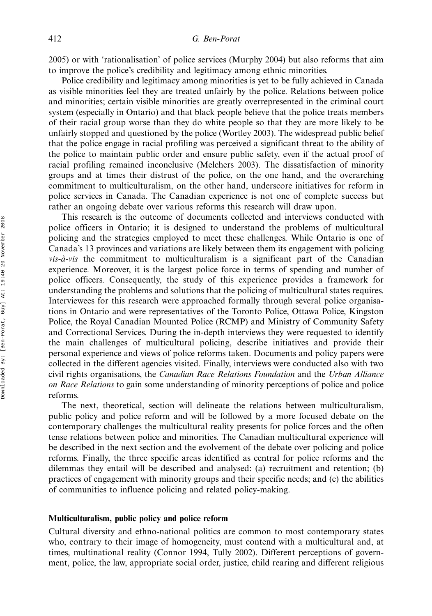2005) or with 'rationalisation' of police services (Murphy 2004) but also reforms that aim to improve the police's credibility and legitimacy among ethnic minorities.

Police credibility and legitimacy among minorities is yet to be fully achieved in Canada as visible minorities feel they are treated unfairly by the police. Relations between police and minorities; certain visible minorities are greatly overrepresented in the criminal court system (especially in Ontario) and that black people believe that the police treats members of their racial group worse than they do white people so that they are more likely to be unfairly stopped and questioned by the police (Wortley 2003). The widespread public belief that the police engage in racial profiling was perceived a significant threat to the ability of the police to maintain public order and ensure public safety, even if the actual proof of racial profiling remained inconclusive (Melchers 2003). The dissatisfaction of minority groups and at times their distrust of the police, on the one hand, and the overarching commitment to multiculturalism, on the other hand, underscore initiatives for reform in police services in Canada. The Canadian experience is not one of complete success but rather an ongoing debate over various reforms this research will draw upon.

This research is the outcome of documents collected and interviews conducted with police officers in Ontario; it is designed to understand the problems of multicultural policing and the strategies employed to meet these challenges. While Ontario is one of Canada's 13 provinces and variations are likely between them its engagement with policing vis-a`-vis the commitment to multiculturalism is a significant part of the Canadian experience. Moreover, it is the largest police force in terms of spending and number of police officers. Consequently, the study of this experience provides a framework for understanding the problems and solutions that the policing of multicultural states requires. Interviewees for this research were approached formally through several police organisations in Ontario and were representatives of the Toronto Police, Ottawa Police, Kingston Police, the Royal Canadian Mounted Police (RCMP) and Ministry of Community Safety and Correctional Services. During the in-depth interviews they were requested to identify the main challenges of multicultural policing, describe initiatives and provide their personal experience and views of police reforms taken. Documents and policy papers were collected in the different agencies visited. Finally, interviews were conducted also with two civil rights organisations, the Canadian Race Relations Foundation and the Urban Alliance on Race Relations to gain some understanding of minority perceptions of police and police reforms.

The next, theoretical, section will delineate the relations between multiculturalism, public policy and police reform and will be followed by a more focused debate on the contemporary challenges the multicultural reality presents for police forces and the often tense relations between police and minorities. The Canadian multicultural experience will be described in the next section and the evolvement of the debate over policing and police reforms. Finally, the three specific areas identified as central for police reforms and the dilemmas they entail will be described and analysed: (a) recruitment and retention; (b) practices of engagement with minority groups and their specific needs; and (c) the abilities of communities to influence policing and related policy-making.

# Multiculturalism, public policy and police reform

Cultural diversity and ethno-national politics are common to most contemporary states who, contrary to their image of homogeneity, must contend with a multicultural and, at times, multinational reality (Connor 1994, Tully 2002). Different perceptions of government, police, the law, appropriate social order, justice, child rearing and different religious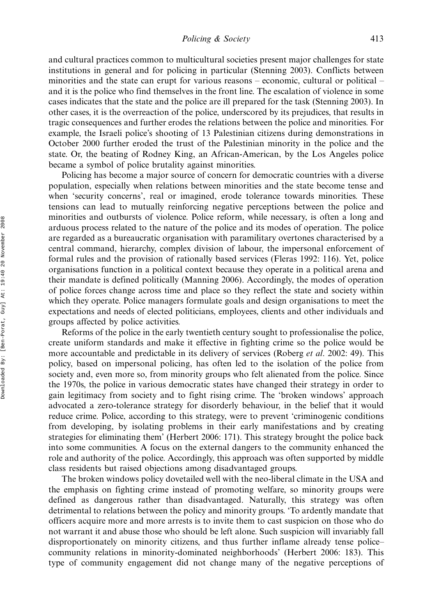and cultural practices common to multicultural societies present major challenges for state institutions in general and for policing in particular (Stenning 2003). Conflicts between minorities and the state can erupt for various reasons  $-$  economic, cultural or political  $$ and it is the police who find themselves in the front line. The escalation of violence in some cases indicates that the state and the police are ill prepared for the task (Stenning 2003). In other cases, it is the overreaction of the police, underscored by its prejudices, that results in tragic consequences and further erodes the relations between the police and minorities. For example, the Israeli police's shooting of 13 Palestinian citizens during demonstrations in October 2000 further eroded the trust of the Palestinian minority in the police and the state. Or, the beating of Rodney King, an African-American, by the Los Angeles police became a symbol of police brutality against minorities.

Policing has become a major source of concern for democratic countries with a diverse population, especially when relations between minorities and the state become tense and when 'security concerns', real or imagined, erode tolerance towards minorities. These tensions can lead to mutually reinforcing negative perceptions between the police and minorities and outbursts of violence. Police reform, while necessary, is often a long and arduous process related to the nature of the police and its modes of operation. The police are regarded as a bureaucratic organisation with paramilitary overtones characterised by a central command, hierarchy, complex division of labour, the impersonal enforcement of formal rules and the provision of rationally based services (Fleras 1992: 116). Yet, police organisations function in a political context because they operate in a political arena and their mandate is defined politically (Manning 2006). Accordingly, the modes of operation of police forces change across time and place so they reflect the state and society within which they operate. Police managers formulate goals and design organisations to meet the expectations and needs of elected politicians, employees, clients and other individuals and groups affected by police activities.

Reforms of the police in the early twentieth century sought to professionalise the police, create uniform standards and make it effective in fighting crime so the police would be more accountable and predictable in its delivery of services (Roberg *et al.* 2002: 49). This policy, based on impersonal policing, has often led to the isolation of the police from society and, even more so, from minority groups who felt alienated from the police. Since the 1970s, the police in various democratic states have changed their strategy in order to gain legitimacy from society and to fight rising crime. The 'broken windows' approach advocated a zero-tolerance strategy for disorderly behaviour, in the belief that it would reduce crime. Police, according to this strategy, were to prevent 'criminogenic conditions from developing, by isolating problems in their early manifestations and by creating strategies for eliminating them' (Herbert 2006: 171). This strategy brought the police back into some communities. A focus on the external dangers to the community enhanced the role and authority of the police. Accordingly, this approach was often supported by middle class residents but raised objections among disadvantaged groups.

The broken windows policy dovetailed well with the neo-liberal climate in the USA and the emphasis on fighting crime instead of promoting welfare, so minority groups were defined as dangerous rather than disadvantaged. Naturally, this strategy was often detrimental to relations between the policy and minority groups. 'To ardently mandate that officers acquire more and more arrests is to invite them to cast suspicion on those who do not warrant it and abuse those who should be left alone. Such suspicion will invariably fall disproportionately on minority citizens, and thus further inflame already tense police community relations in minority-dominated neighborhoods' (Herbert 2006: 183). This type of community engagement did not change many of the negative perceptions of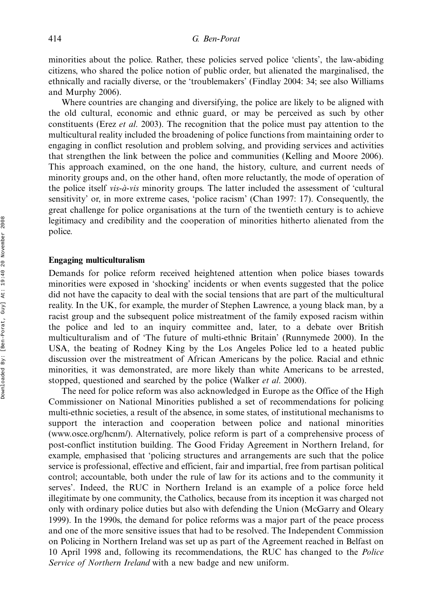minorities about the police. Rather, these policies served police 'clients', the law-abiding citizens, who shared the police notion of public order, but alienated the marginalised, the ethnically and racially diverse, or the 'troublemakers' (Findlay 2004: 34; see also Williams and Murphy 2006).

Where countries are changing and diversifying, the police are likely to be aligned with the old cultural, economic and ethnic guard, or may be perceived as such by other constituents (Erez et al. 2003). The recognition that the police must pay attention to the multicultural reality included the broadening of police functions from maintaining order to engaging in conflict resolution and problem solving, and providing services and activities that strengthen the link between the police and communities (Kelling and Moore 2006). This approach examined, on the one hand, the history, culture, and current needs of minority groups and, on the other hand, often more reluctantly, the mode of operation of the police itself  $vis-\hat{a}-vis$  minority groups. The latter included the assessment of 'cultural sensitivity' or, in more extreme cases, 'police racism' (Chan 1997: 17). Consequently, the great challenge for police organisations at the turn of the twentieth century is to achieve legitimacy and credibility and the cooperation of minorities hitherto alienated from the police.

#### Engaging multiculturalism

Demands for police reform received heightened attention when police biases towards minorities were exposed in 'shocking' incidents or when events suggested that the police did not have the capacity to deal with the social tensions that are part of the multicultural reality. In the UK, for example, the murder of Stephen Lawrence, a young black man, by a racist group and the subsequent police mistreatment of the family exposed racism within the police and led to an inquiry committee and, later, to a debate over British multiculturalism and of 'The future of multi-ethnic Britain' (Runnymede 2000). In the USA, the beating of Rodney King by the Los Angeles Police led to a heated public discussion over the mistreatment of African Americans by the police. Racial and ethnic minorities, it was demonstrated, are more likely than white Americans to be arrested, stopped, questioned and searched by the police (Walker et al. 2000).

The need for police reform was also acknowledged in Europe as the Office of the High Commissioner on National Minorities published a set of recommendations for policing multi-ethnic societies, a result of the absence, in some states, of institutional mechanisms to support the interaction and cooperation between police and national minorities (www.osce.org/hcnm/). Alternatively, police reform is part of a comprehensive process of post-conflict institution building. The Good Friday Agreement in Northern Ireland, for example, emphasised that 'policing structures and arrangements are such that the police service is professional, effective and efficient, fair and impartial, free from partisan political control; accountable, both under the rule of law for its actions and to the community it serves'. Indeed, the RUC in Northern Ireland is an example of a police force held illegitimate by one community, the Catholics, because from its inception it was charged not only with ordinary police duties but also with defending the Union (McGarry and Oleary 1999). In the 1990s, the demand for police reforms was a major part of the peace process and one of the more sensitive issues that had to be resolved. The Independent Commission on Policing in Northern Ireland was set up as part of the Agreement reached in Belfast on 10 April 1998 and, following its recommendations, the RUC has changed to the Police Service of Northern Ireland with a new badge and new uniform.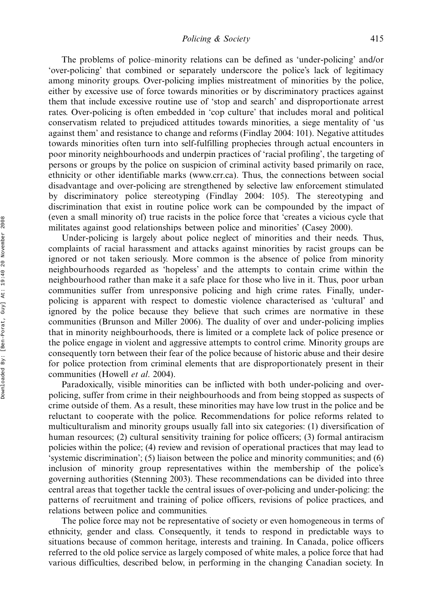The problems of police-minority relations can be defined as 'under-policing' and/or 'over-policing' that combined or separately underscore the police's lack of legitimacy among minority groups. Over-policing implies mistreatment of minorities by the police, either by excessive use of force towards minorities or by discriminatory practices against them that include excessive routine use of 'stop and search' and disproportionate arrest rates. Over-policing is often embedded in 'cop culture' that includes moral and political conservatism related to prejudiced attitudes towards minorities, a siege mentality of 'us against them' and resistance to change and reforms (Findlay 2004: 101). Negative attitudes towards minorities often turn into self-fulfilling prophecies through actual encounters in poor minority neighbourhoods and underpin practices of 'racial profiling', the targeting of persons or groups by the police on suspicion of criminal activity based primarily on race, ethnicity or other identifiable marks (www.crr.ca). Thus, the connections between social disadvantage and over-policing are strengthened by selective law enforcement stimulated by discriminatory police stereotyping (Findlay 2004: 105). The stereotyping and discrimination that exist in routine police work can be compounded by the impact of (even a small minority of) true racists in the police force that 'creates a vicious cycle that militates against good relationships between police and minorities' (Casey 2000).

Under-policing is largely about police neglect of minorities and their needs. Thus, complaints of racial harassment and attacks against minorities by racist groups can be ignored or not taken seriously. More common is the absence of police from minority neighbourhoods regarded as 'hopeless' and the attempts to contain crime within the neighbourhood rather than make it a safe place for those who live in it. Thus, poor urban communities suffer from unresponsive policing and high crime rates. Finally, underpolicing is apparent with respect to domestic violence characterised as 'cultural' and ignored by the police because they believe that such crimes are normative in these communities (Brunson and Miller 2006). The duality of over and under-policing implies that in minority neighbourhoods, there is limited or a complete lack of police presence or the police engage in violent and aggressive attempts to control crime. Minority groups are consequently torn between their fear of the police because of historic abuse and their desire for police protection from criminal elements that are disproportionately present in their communities (Howell et al. 2004).

Paradoxically, visible minorities can be inflicted with both under-policing and overpolicing, suffer from crime in their neighbourhoods and from being stopped as suspects of crime outside of them. As a result, these minorities may have low trust in the police and be reluctant to cooperate with the police. Recommendations for police reforms related to multiculturalism and minority groups usually fall into six categories: (1) diversification of human resources; (2) cultural sensitivity training for police officers; (3) formal antiracism policies within the police; (4) review and revision of operational practices that may lead to 'systemic discrimination'; (5) liaison between the police and minority communities; and (6) inclusion of minority group representatives within the membership of the police's governing authorities (Stenning 2003). These recommendations can be divided into three central areas that together tackle the central issues of over-policing and under-policing: the patterns of recruitment and training of police officers, revisions of police practices, and relations between police and communities.

The police force may not be representative of society or even homogeneous in terms of ethnicity, gender and class. Consequently, it tends to respond in predictable ways to situations because of common heritage, interests and training. In Canada, police officers referred to the old police service as largely composed of white males, a police force that had various difficulties, described below, in performing in the changing Canadian society. In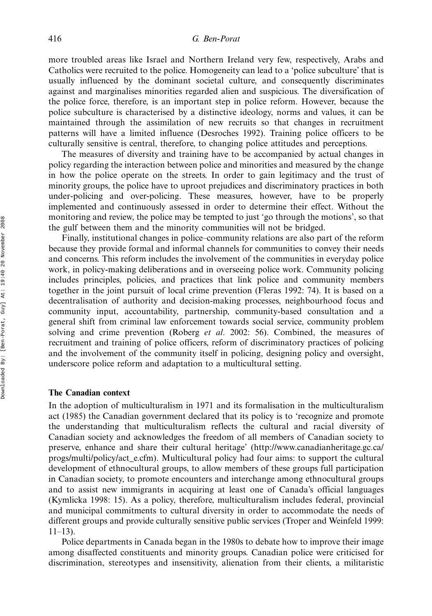more troubled areas like Israel and Northern Ireland very few, respectively, Arabs and Catholics were recruited to the police. Homogeneity can lead to a 'police subculture' that is usually influenced by the dominant societal culture, and consequently discriminates against and marginalises minorities regarded alien and suspicious. The diversification of the police force, therefore, is an important step in police reform. However, because the police subculture is characterised by a distinctive ideology, norms and values, it can be maintained through the assimilation of new recruits so that changes in recruitment patterns will have a limited influence (Desroches 1992). Training police officers to be culturally sensitive is central, therefore, to changing police attitudes and perceptions.

The measures of diversity and training have to be accompanied by actual changes in policy regarding the interaction between police and minorities and measured by the change in how the police operate on the streets. In order to gain legitimacy and the trust of minority groups, the police have to uproot prejudices and discriminatory practices in both under-policing and over-policing. These measures, however, have to be properly implemented and continuously assessed in order to determine their effect. Without the monitoring and review, the police may be tempted to just 'go through the motions', so that the gulf between them and the minority communities will not be bridged.

Finally, institutional changes in police-community relations are also part of the reform because they provide formal and informal channels for communities to convey their needs and concerns. This reform includes the involvement of the communities in everyday police work, in policy-making deliberations and in overseeing police work. Community policing includes principles, policies, and practices that link police and community members together in the joint pursuit of local crime prevention (Fleras 1992: 74). It is based on a decentralisation of authority and decision-making processes, neighbourhood focus and community input, accountability, partnership, community-based consultation and a general shift from criminal law enforcement towards social service, community problem solving and crime prevention (Roberg *et al.* 2002: 56). Combined, the measures of recruitment and training of police officers, reform of discriminatory practices of policing and the involvement of the community itself in policing, designing policy and oversight, underscore police reform and adaptation to a multicultural setting.

#### The Canadian context

In the adoption of multiculturalism in 1971 and its formalisation in the multiculturalism act (1985) the Canadian government declared that its policy is to 'recognize and promote the understanding that multiculturalism reflects the cultural and racial diversity of Canadian society and acknowledges the freedom of all members of Canadian society to preserve, enhance and share their cultural heritage' (http://www.canadianheritage.gc.ca/ progs/multi/policy/act\_e.cfm). Multicultural policy had four aims: to support the cultural development of ethnocultural groups, to allow members of these groups full participation in Canadian society, to promote encounters and interchange among ethnocultural groups and to assist new immigrants in acquiring at least one of Canada's official languages (Kymlicka 1998: 15). As a policy, therefore, multiculturalism includes federal, provincial and municipal commitments to cultural diversity in order to accommodate the needs of different groups and provide culturally sensitive public services (Troper and Weinfeld 1999:  $11-13$ ).

Police departments in Canada began in the 1980s to debate how to improve their image among disaffected constituents and minority groups. Canadian police were criticised for discrimination, stereotypes and insensitivity, alienation from their clients, a militaristic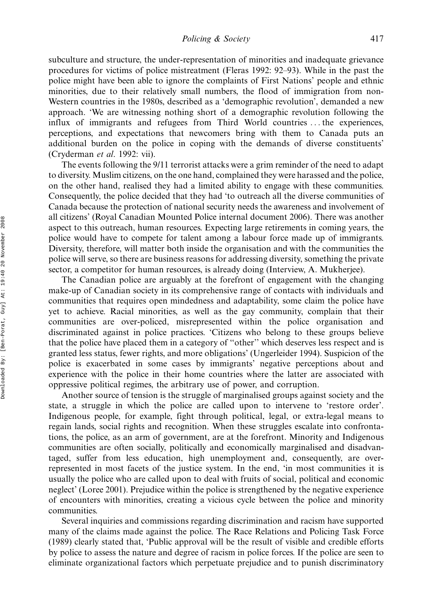Policing & Society 417

subculture and structure, the under-representation of minorities and inadequate grievance procedures for victims of police mistreatment (Fleras 1992: 92–93). While in the past the police might have been able to ignore the complaints of First Nations' people and ethnic minorities, due to their relatively small numbers, the flood of immigration from non-Western countries in the 1980s, described as a 'demographic revolution', demanded a new approach. 'We are witnessing nothing short of a demographic revolution following the influx of immigrants and refugees from Third World countries ... the experiences, perceptions, and expectations that newcomers bring with them to Canada puts an additional burden on the police in coping with the demands of diverse constituents' (Cryderman et al. 1992: vii).

The events following the 9/11 terrorist attacks were a grim reminder of the need to adapt to diversity. Muslim citizens, on the one hand, complained they were harassed and the police, on the other hand, realised they had a limited ability to engage with these communities. Consequently, the police decided that they had 'to outreach all the diverse communities of Canada because the protection of national security needs the awareness and involvement of all citizens' (Royal Canadian Mounted Police internal document 2006). There was another aspect to this outreach, human resources. Expecting large retirements in coming years, the police would have to compete for talent among a labour force made up of immigrants. Diversity, therefore, will matter both inside the organisation and with the communities the police will serve, so there are business reasons for addressing diversity, something the private sector, a competitor for human resources, is already doing (Interview, A. Mukherjee).

The Canadian police are arguably at the forefront of engagement with the changing make-up of Canadian society in its comprehensive range of contacts with individuals and communities that requires open mindedness and adaptability, some claim the police have yet to achieve. Racial minorities, as well as the gay community, complain that their communities are over-policed, misrepresented within the police organisation and discriminated against in police practices. 'Citizens who belong to these groups believe that the police have placed them in a category of ''other'' which deserves less respect and is granted less status, fewer rights, and more obligations' (Ungerleider 1994). Suspicion of the police is exacerbated in some cases by immigrants' negative perceptions about and experience with the police in their home countries where the latter are associated with oppressive political regimes, the arbitrary use of power, and corruption.

Another source of tension is the struggle of marginalised groups against society and the state, a struggle in which the police are called upon to intervene to 'restore order'. Indigenous people, for example, fight through political, legal, or extra-legal means to regain lands, social rights and recognition. When these struggles escalate into confrontations, the police, as an arm of government, are at the forefront. Minority and Indigenous communities are often socially, politically and economically marginalised and disadvantaged, suffer from less education, high unemployment and, consequently, are overrepresented in most facets of the justice system. In the end, 'in most communities it is usually the police who are called upon to deal with fruits of social, political and economic neglect' (Loree 2001). Prejudice within the police is strengthened by the negative experience of encounters with minorities, creating a vicious cycle between the police and minority communities.

Several inquiries and commissions regarding discrimination and racism have supported many of the claims made against the police. The Race Relations and Policing Task Force (1989) clearly stated that, 'Public approval will be the result of visible and credible efforts by police to assess the nature and degree of racism in police forces. If the police are seen to eliminate organizational factors which perpetuate prejudice and to punish discriminatory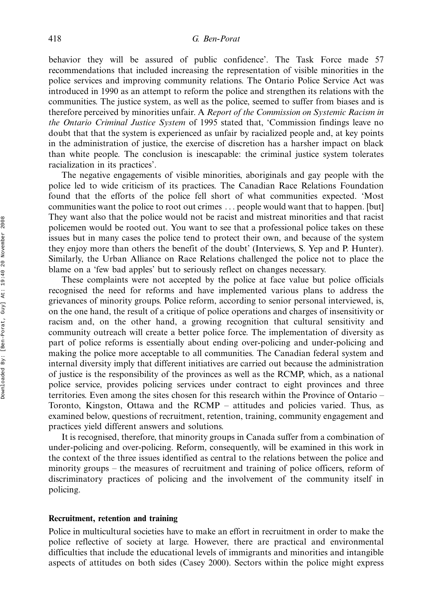behavior they will be assured of public confidence'. The Task Force made 57 recommendations that included increasing the representation of visible minorities in the police services and improving community relations. The Ontario Police Service Act was introduced in 1990 as an attempt to reform the police and strengthen its relations with the communities. The justice system, as well as the police, seemed to suffer from biases and is therefore perceived by minorities unfair. A Report of the Commission on Systemic Racism in the Ontario Criminal Justice System of 1995 stated that, 'Commission findings leave no doubt that that the system is experienced as unfair by racialized people and, at key points in the administration of justice, the exercise of discretion has a harsher impact on black than white people. The conclusion is inescapable: the criminal justice system tolerates racialization in its practices'.

The negative engagements of visible minorities, aboriginals and gay people with the police led to wide criticism of its practices. The Canadian Race Relations Foundation found that the efforts of the police fell short of what communities expected. 'Most communities want the police to root out crimes ... people would want that to happen. [but] They want also that the police would not be racist and mistreat minorities and that racist policemen would be rooted out. You want to see that a professional police takes on these issues but in many cases the police tend to protect their own, and because of the system they enjoy more than others the benefit of the doubt' (Interviews, S. Yep and P. Hunter). Similarly, the Urban Alliance on Race Relations challenged the police not to place the blame on a 'few bad apples' but to seriously reflect on changes necessary.

These complaints were not accepted by the police at face value but police officials recognised the need for reforms and have implemented various plans to address the grievances of minority groups. Police reform, according to senior personal interviewed, is, on the one hand, the result of a critique of police operations and charges of insensitivity or racism and, on the other hand, a growing recognition that cultural sensitivity and community outreach will create a better police force. The implementation of diversity as part of police reforms is essentially about ending over-policing and under-policing and making the police more acceptable to all communities. The Canadian federal system and internal diversity imply that different initiatives are carried out because the administration of justice is the responsibility of the provinces as well as the RCMP, which, as a national police service, provides policing services under contract to eight provinces and three territories. Even among the sites chosen for this research within the Province of Ontario Toronto, Kingston, Ottawa and the  $RCMP -$  attitudes and policies varied. Thus, as examined below, questions of recruitment, retention, training, community engagement and practices yield different answers and solutions.

It is recognised, therefore, that minority groups in Canada suffer from a combination of under-policing and over-policing. Reform, consequently, will be examined in this work in the context of the three issues identified as central to the relations between the police and minority groups – the measures of recruitment and training of police officers, reform of discriminatory practices of policing and the involvement of the community itself in policing.

#### Recruitment, retention and training

Police in multicultural societies have to make an effort in recruitment in order to make the police reflective of society at large. However, there are practical and environmental difficulties that include the educational levels of immigrants and minorities and intangible aspects of attitudes on both sides (Casey 2000). Sectors within the police might express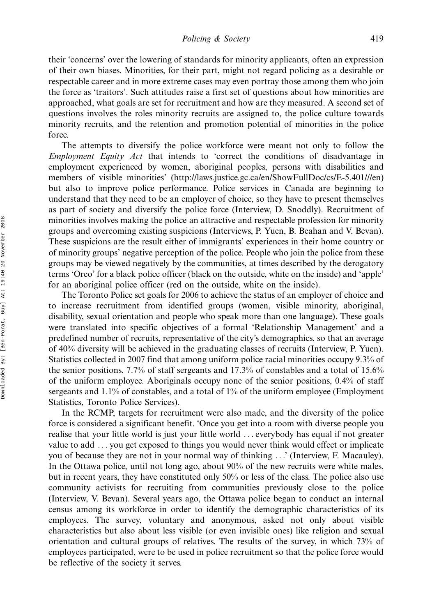their 'concerns' over the lowering of standards for minority applicants, often an expression of their own biases. Minorities, for their part, might not regard policing as a desirable or respectable career and in more extreme cases may even portray those among them who join the force as 'traitors'. Such attitudes raise a first set of questions about how minorities are approached, what goals are set for recruitment and how are they measured. A second set of questions involves the roles minority recruits are assigned to, the police culture towards minority recruits, and the retention and promotion potential of minorities in the police force.

The attempts to diversify the police workforce were meant not only to follow the Employment Equity Act that intends to 'correct the conditions of disadvantage in employment experienced by women, aboriginal peoples, persons with disabilities and members of visible minorities' (http://laws.justice.gc.ca/en/ShowFullDoc/cs/E-5.401///en) but also to improve police performance. Police services in Canada are beginning to understand that they need to be an employer of choice, so they have to present themselves as part of society and diversify the police force (Interview, D. Snoddly). Recruitment of minorities involves making the police an attractive and respectable profession for minority groups and overcoming existing suspicions (Interviews, P. Yuen, B. Beahan and V. Bevan). These suspicions are the result either of immigrants' experiences in their home country or of minority groups' negative perception of the police. People who join the police from these groups may be viewed negatively by the communities, at times described by the derogatory terms 'Oreo' for a black police officer (black on the outside, white on the inside) and 'apple' for an aboriginal police officer (red on the outside, white on the inside).

The Toronto Police set goals for 2006 to achieve the status of an employer of choice and to increase recruitment from identified groups (women, visible minority, aboriginal, disability, sexual orientation and people who speak more than one language). These goals were translated into specific objectives of a formal 'Relationship Management' and a predefined number of recruits, representative of the city's demographics, so that an average of 40% diversity will be achieved in the graduating classes of recruits (Interview, P. Yuen). Statistics collected in 2007 find that among uniform police racial minorities occupy 9.3% of the senior positions, 7.7% of staff sergeants and 17.3% of constables and a total of 15.6% of the uniform employee. Aboriginals occupy none of the senior positions, 0.4% of staff sergeants and 1.1% of constables, and a total of 1% of the uniform employee (Employment Statistics, Toronto Police Services).

In the RCMP, targets for recruitment were also made, and the diversity of the police force is considered a significant benefit. 'Once you get into a room with diverse people you realise that your little world is just your little world ... everybody has equal if not greater value to add ... you get exposed to things you would never think would effect or implicate you of because they are not in your normal way of thinking ...' (Interview, F. Macauley). In the Ottawa police, until not long ago, about 90% of the new recruits were white males, but in recent years, they have constituted only 50% or less of the class. The police also use community activists for recruiting from communities previously close to the police (Interview, V. Bevan). Several years ago, the Ottawa police began to conduct an internal census among its workforce in order to identify the demographic characteristics of its employees. The survey, voluntary and anonymous, asked not only about visible characteristics but also about less visible (or even invisible ones) like religion and sexual orientation and cultural groups of relatives. The results of the survey, in which 73% of employees participated, were to be used in police recruitment so that the police force would be reflective of the society it serves.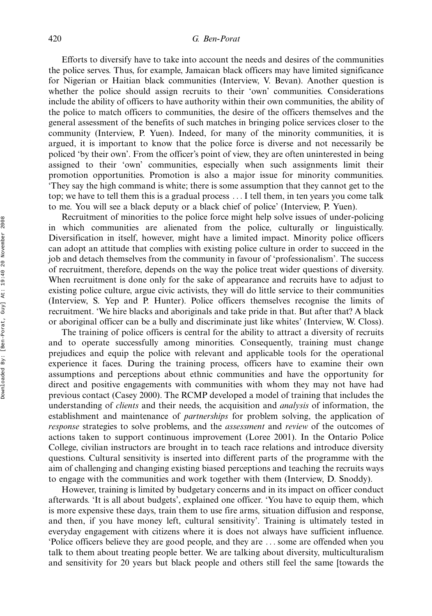Efforts to diversify have to take into account the needs and desires of the communities the police serves. Thus, for example, Jamaican black officers may have limited significance for Nigerian or Haitian black communities (Interview, V. Bevan). Another question is whether the police should assign recruits to their 'own' communities. Considerations include the ability of officers to have authority within their own communities, the ability of the police to match officers to communities, the desire of the officers themselves and the general assessment of the benefits of such matches in bringing police services closer to the community (Interview, P. Yuen). Indeed, for many of the minority communities, it is argued, it is important to know that the police force is diverse and not necessarily be policed 'by their own'. From the officer's point of view, they are often uninterested in being assigned to their 'own' communities, especially when such assignments limit their promotion opportunities. Promotion is also a major issue for minority communities. 'They say the high command is white; there is some assumption that they cannot get to the top; we have to tell them this is a gradual process ... I tell them, in ten years you come talk to me. You will see a black deputy or a black chief of police' (Interview, P. Yuen).

Recruitment of minorities to the police force might help solve issues of under-policing in which communities are alienated from the police, culturally or linguistically. Diversification in itself, however, might have a limited impact. Minority police officers can adopt an attitude that complies with existing police culture in order to succeed in the job and detach themselves from the community in favour of 'professionalism'. The success of recruitment, therefore, depends on the way the police treat wider questions of diversity. When recruitment is done only for the sake of appearance and recruits have to adjust to existing police culture, argue civic activists, they will do little service to their communities (Interview, S. Yep and P. Hunter). Police officers themselves recognise the limits of recruitment. 'We hire blacks and aboriginals and take pride in that. But after that? A black or aboriginal officer can be a bully and discriminate just like whites' (Interview, W. Closs).

The training of police officers is central for the ability to attract a diversity of recruits and to operate successfully among minorities. Consequently, training must change prejudices and equip the police with relevant and applicable tools for the operational experience it faces. During the training process, officers have to examine their own assumptions and perceptions about ethnic communities and have the opportunity for direct and positive engagements with communities with whom they may not have had previous contact (Casey 2000). The RCMP developed a model of training that includes the understanding of *clients* and their needs, the acquisition and *analysis* of information, the establishment and maintenance of partnerships for problem solving, the application of response strategies to solve problems, and the assessment and review of the outcomes of actions taken to support continuous improvement (Loree 2001). In the Ontario Police College, civilian instructors are brought in to teach race relations and introduce diversity questions. Cultural sensitivity is inserted into different parts of the programme with the aim of challenging and changing existing biased perceptions and teaching the recruits ways to engage with the communities and work together with them (Interview, D. Snoddy).

However, training is limited by budgetary concerns and in its impact on officer conduct afterwards. 'It is all about budgets', explained one officer. 'You have to equip them, which is more expensive these days, train them to use fire arms, situation diffusion and response, and then, if you have money left, cultural sensitivity'. Training is ultimately tested in everyday engagement with citizens where it is does not always have sufficient influence. 'Police officers believe they are good people, and they are ... some are offended when you talk to them about treating people better. We are talking about diversity, multiculturalism and sensitivity for 20 years but black people and others still feel the same [towards the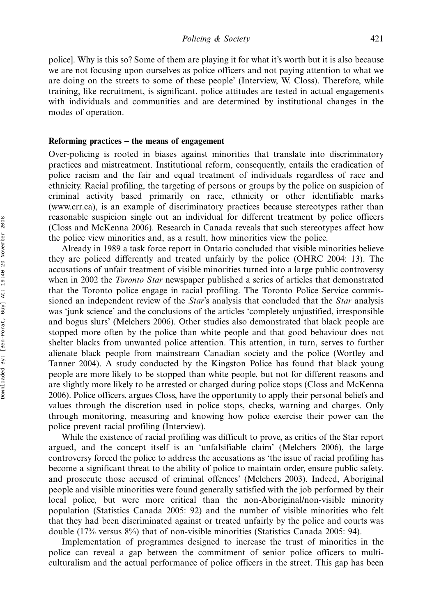police]. Why is this so? Some of them are playing it for what it's worth but it is also because we are not focusing upon ourselves as police officers and not paying attention to what we are doing on the streets to some of these people' (Interview, W. Closs). Therefore, while training, like recruitment, is significant, police attitudes are tested in actual engagements with individuals and communities and are determined by institutional changes in the modes of operation.

#### Reforming practices  $-$  the means of engagement

Over-policing is rooted in biases against minorities that translate into discriminatory practices and mistreatment. Institutional reform, consequently, entails the eradication of police racism and the fair and equal treatment of individuals regardless of race and ethnicity. Racial profiling, the targeting of persons or groups by the police on suspicion of criminal activity based primarily on race, ethnicity or other identifiable marks (www.crr.ca), is an example of discriminatory practices because stereotypes rather than reasonable suspicion single out an individual for different treatment by police officers (Closs and McKenna 2006). Research in Canada reveals that such stereotypes affect how the police view minorities and, as a result, how minorities view the police.

Already in 1989 a task force report in Ontario concluded that visible minorities believe they are policed differently and treated unfairly by the police (OHRC 2004: 13). The accusations of unfair treatment of visible minorities turned into a large public controversy when in 2002 the *Toronto Star* newspaper published a series of articles that demonstrated that the Toronto police engage in racial profiling. The Toronto Police Service commissioned an independent review of the *Star's* analysis that concluded that the *Star* analysis was 'junk science' and the conclusions of the articles 'completely unjustified, irresponsible and bogus slurs' (Melchers 2006). Other studies also demonstrated that black people are stopped more often by the police than white people and that good behaviour does not shelter blacks from unwanted police attention. This attention, in turn, serves to further alienate black people from mainstream Canadian society and the police (Wortley and Tanner 2004). A study conducted by the Kingston Police has found that black young people are more likely to be stopped than white people, but not for different reasons and are slightly more likely to be arrested or charged during police stops (Closs and McKenna 2006). Police officers, argues Closs, have the opportunity to apply their personal beliefs and values through the discretion used in police stops, checks, warning and charges. Only through monitoring, measuring and knowing how police exercise their power can the police prevent racial profiling (Interview).

While the existence of racial profiling was difficult to prove, as critics of the Star report argued, and the concept itself is an 'unfalsifiable claim' (Melchers 2006), the large controversy forced the police to address the accusations as 'the issue of racial profiling has become a significant threat to the ability of police to maintain order, ensure public safety, and prosecute those accused of criminal offences' (Melchers 2003). Indeed, Aboriginal people and visible minorities were found generally satisfied with the job performed by their local police, but were more critical than the non-Aboriginal/non-visible minority population (Statistics Canada 2005: 92) and the number of visible minorities who felt that they had been discriminated against or treated unfairly by the police and courts was double (17% versus 8%) that of non-visible minorities (Statistics Canada 2005: 94).

Implementation of programmes designed to increase the trust of minorities in the police can reveal a gap between the commitment of senior police officers to multiculturalism and the actual performance of police officers in the street. This gap has been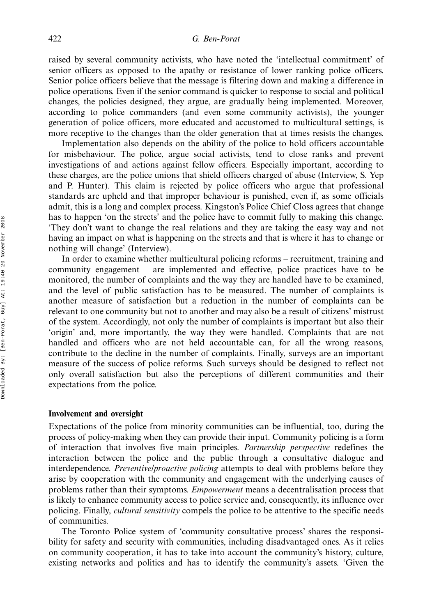raised by several community activists, who have noted the 'intellectual commitment' of senior officers as opposed to the apathy or resistance of lower ranking police officers. Senior police officers believe that the message is filtering down and making a difference in police operations. Even if the senior command is quicker to response to social and political changes, the policies designed, they argue, are gradually being implemented. Moreover, according to police commanders (and even some community activists), the younger generation of police officers, more educated and accustomed to multicultural settings, is more receptive to the changes than the older generation that at times resists the changes.

Implementation also depends on the ability of the police to hold officers accountable for misbehaviour. The police, argue social activists, tend to close ranks and prevent investigations of and actions against fellow officers. Especially important, according to these charges, are the police unions that shield officers charged of abuse (Interview, S. Yep and P. Hunter). This claim is rejected by police officers who argue that professional standards are upheld and that improper behaviour is punished, even if, as some officials admit, this is a long and complex process. Kingston's Police Chief Closs agrees that change has to happen 'on the streets' and the police have to commit fully to making this change. 'They don't want to change the real relations and they are taking the easy way and not having an impact on what is happening on the streets and that is where it has to change or nothing will change' (Interview).

In order to examine whether multicultural policing reforms – recruitment, training and community engagement – are implemented and effective, police practices have to be monitored, the number of complaints and the way they are handled have to be examined, and the level of public satisfaction has to be measured. The number of complaints is another measure of satisfaction but a reduction in the number of complaints can be relevant to one community but not to another and may also be a result of citizens' mistrust of the system. Accordingly, not only the number of complaints is important but also their 'origin' and, more importantly, the way they were handled. Complaints that are not handled and officers who are not held accountable can, for all the wrong reasons, contribute to the decline in the number of complaints. Finally, surveys are an important measure of the success of police reforms. Such surveys should be designed to reflect not only overall satisfaction but also the perceptions of different communities and their expectations from the police.

#### Involvement and oversight

Expectations of the police from minority communities can be influential, too, during the process of policy-making when they can provide their input. Community policing is a form of interaction that involves five main principles. Partnership perspective redefines the interaction between the police and the public through a consultative dialogue and interdependence. Preventive/proactive policing attempts to deal with problems before they arise by cooperation with the community and engagement with the underlying causes of problems rather than their symptoms. Empowerment means a decentralisation process that is likely to enhance community access to police service and, consequently, its influence over policing. Finally, *cultural sensitivity* compels the police to be attentive to the specific needs of communities.

The Toronto Police system of 'community consultative process' shares the responsibility for safety and security with communities, including disadvantaged ones. As it relies on community cooperation, it has to take into account the community's history, culture, existing networks and politics and has to identify the community's assets. 'Given the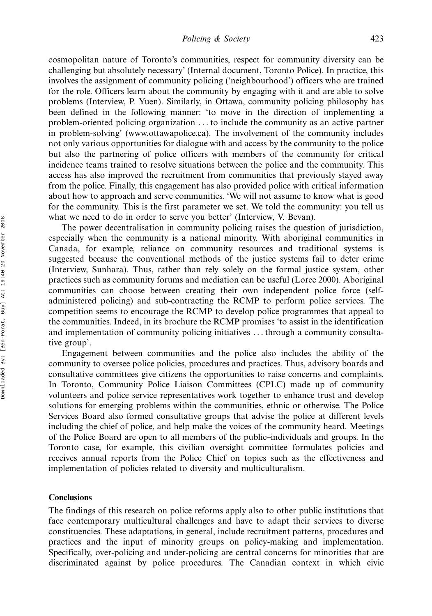cosmopolitan nature of Toronto's communities, respect for community diversity can be challenging but absolutely necessary' (Internal document, Toronto Police). In practice, this involves the assignment of community policing ('neighbourhood') officers who are trained for the role. Officers learn about the community by engaging with it and are able to solve problems (Interview, P. Yuen). Similarly, in Ottawa, community policing philosophy has been defined in the following manner: 'to move in the direction of implementing a problem-oriented policing organization ... to include the community as an active partner in problem-solving' (www.ottawapolice.ca). The involvement of the community includes not only various opportunities for dialogue with and access by the community to the police but also the partnering of police officers with members of the community for critical incidence teams trained to resolve situations between the police and the community. This access has also improved the recruitment from communities that previously stayed away from the police. Finally, this engagement has also provided police with critical information about how to approach and serve communities. 'We will not assume to know what is good for the community. This is the first parameter we set. We told the community: you tell us what we need to do in order to serve you better' (Interview, V. Bevan).

The power decentralisation in community policing raises the question of jurisdiction, especially when the community is a national minority. With aboriginal communities in Canada, for example, reliance on community resources and traditional systems is suggested because the conventional methods of the justice systems fail to deter crime (Interview, Sunhara). Thus, rather than rely solely on the formal justice system, other practices such as community forums and mediation can be useful (Loree 2000). Aboriginal communities can choose between creating their own independent police force (selfadministered policing) and sub-contracting the RCMP to perform police services. The competition seems to encourage the RCMP to develop police programmes that appeal to the communities. Indeed, in its brochure the RCMP promises 'to assist in the identification and implementation of community policing initiatives ... through a community consultative group'.

Engagement between communities and the police also includes the ability of the community to oversee police policies, procedures and practices. Thus, advisory boards and consultative committees give citizens the opportunities to raise concerns and complaints. In Toronto, Community Police Liaison Committees (CPLC) made up of community volunteers and police service representatives work together to enhance trust and develop solutions for emerging problems within the communities, ethnic or otherwise. The Police Services Board also formed consultative groups that advise the police at different levels including the chief of police, and help make the voices of the community heard. Meetings of the Police Board are open to all members of the public-individuals and groups. In the Toronto case, for example, this civilian oversight committee formulates policies and receives annual reports from the Police Chief on topics such as the effectiveness and implementation of policies related to diversity and multiculturalism.

# **Conclusions**

The findings of this research on police reforms apply also to other public institutions that face contemporary multicultural challenges and have to adapt their services to diverse constituencies. These adaptations, in general, include recruitment patterns, procedures and practices and the input of minority groups on policy-making and implementation. Specifically, over-policing and under-policing are central concerns for minorities that are discriminated against by police procedures. The Canadian context in which civic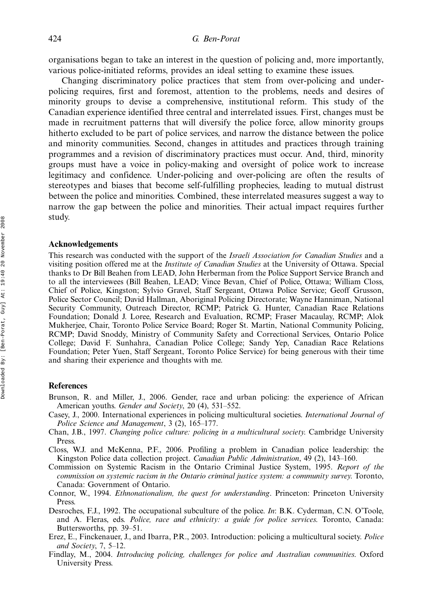organisations began to take an interest in the question of policing and, more importantly, various police-initiated reforms, provides an ideal setting to examine these issues.

Changing discriminatory police practices that stem from over-policing and underpolicing requires, first and foremost, attention to the problems, needs and desires of minority groups to devise a comprehensive, institutional reform. This study of the Canadian experience identified three central and interrelated issues. First, changes must be made in recruitment patterns that will diversify the police force, allow minority groups hitherto excluded to be part of police services, and narrow the distance between the police and minority communities. Second, changes in attitudes and practices through training programmes and a revision of discriminatory practices must occur. And, third, minority groups must have a voice in policy-making and oversight of police work to increase legitimacy and confidence. Under-policing and over-policing are often the results of stereotypes and biases that become self-fulfilling prophecies, leading to mutual distrust between the police and minorities. Combined, these interrelated measures suggest a way to narrow the gap between the police and minorities. Their actual impact requires further study.

#### Acknowledgements

This research was conducted with the support of the *Israeli Association for Canadian Studies* and a visiting position offered me at the Institute of Canadian Studies at the University of Ottawa. Special thanks to Dr Bill Beahen from LEAD, John Herberman from the Police Support Service Branch and to all the interviewees (Bill Beahen, LEAD; Vince Bevan, Chief of Police, Ottawa; William Closs, Chief of Police, Kingston; Sylvio Gravel, Staff Sergeant, Ottawa Police Service; Geoff Grusson, Police Sector Council; David Hallman, Aboriginal Policing Directorate; Wayne Hanniman, National Security Community, Outreach Director, RCMP; Patrick G. Hunter, Canadian Race Relations Foundation; Donald J. Loree, Research and Evaluation, RCMP; Fraser Macaulay, RCMP; Alok Mukherjee, Chair, Toronto Police Service Board; Roger St. Martin, National Community Policing, RCMP; David Snoddy, Ministry of Community Safety and Correctional Services, Ontario Police College; David F. Sunhahra, Canadian Police College; Sandy Yep, Canadian Race Relations Foundation; Peter Yuen, Staff Sergeant, Toronto Police Service) for being generous with their time and sharing their experience and thoughts with me.

### References

- Brunson, R. and Miller, J., 2006. Gender, race and urban policing: the experience of African American youths. Gender and Society, 20 (4), 531–552.
- Casey, J., 2000. International experiences in policing multicultural societies. International Journal of Police Science and Management, 3 (2), 165-177.
- Chan, J.B., 1997. Changing police culture: policing in a multicultural society. Cambridge University Press.
- Closs, W.J. and McKenna, P.F., 2006. Profiling a problem in Canadian police leadership: the Kingston Police data collection project. Canadian Public Administration, 49 (2), 143-160.
- Commission on Systemic Racism in the Ontario Criminal Justice System, 1995. Report of the commission on systemic racism in the Ontario criminal justice system: a community survey. Toronto, Canada: Government of Ontario.
- Connor, W., 1994. Ethnonationalism, the quest for understanding. Princeton: Princeton University Press.
- Desroches, F.J., 1992. The occupational subculture of the police. In: B.K. Cyderman, C.N. O'Toole, and A. Fleras, eds. Police, race and ethnicity: a guide for police services. Toronto, Canada: Buttersworths, pp. 39–51.
- Erez, E., Finckenauer, J., and Ibarra, P.R., 2003. Introduction: policing a multicultural society. Police and Society,  $7, 5-12$ .
- Findlay, M., 2004. Introducing policing, challenges for police and Australian communities. Oxford University Press.